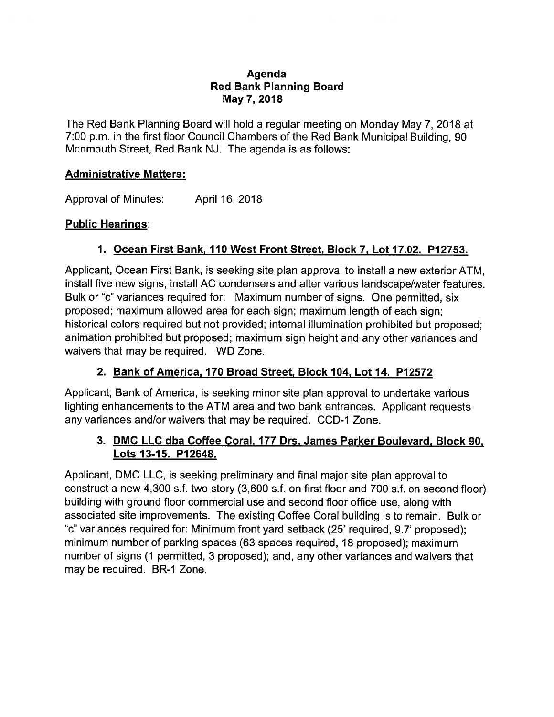#### Agenda Red Bank Planning Board May 7, 2018

The Red Bank Planning Board will hold <sup>a</sup> regular meeting on Monday May 7, 2018 at 7:00 p.m. in the first floor Council Chambers of the Red Bank Municipal Building, 90 Monmouth Street, Red Bank NJ. The agenda is as follows:

#### Administrative Matters:

Approval of Minutes: April 16, 2018

#### Public Hearings:

## 1. Ocean First Bank, 110 West Front Street, Block 7, Lot 17.02. P12753.

Applicant, Ocean First Bank, is seeking site plan approval to install <sup>a</sup> new exterior ATM, install five new signs, install AC condensers and alter various landscape/water features. Bulk or "c' variances required for: Maximum number of signs. One permitted, six proposed; maximum allowed area for each sign; maximum length of each sign; historical colors required but not provided; internal illumination prohibited but proposed; animation prohibited but proposed; maximum sign height and any other variances and waivers that may be required. WD Zone.

## 2. Bank of America, 170 Broad Street, Block 104, Lot 14. P12572

Applicant, Bank of America, is seeking minor site plan approval to undertake various lighting enhancements to the ATM area and two bank entrances. Applicant requests any variances and/or waivers that may be required. CCD-1 Zone.

## 3. DMC LLC dba Coffee Coral, 177 Drs. James Parker Boulevard, Block 90, Lots 13-15. P12648.

Applicant, DMC LLC, is seeking preliminary and final major site plan approval to construct <sup>a</sup> new 4,300 s.f. two story (3,600 s.f. on first floor and 700 s.f. on second floor) building with ground floor commercial use and second floor office use, along with associated site improvements. The existing Coffee Coral building is to remain. Bulk or 'c" variances required for: Minimum front yard setback (25' required, 9.7' proposed); minimum number of parking spaces (63 spaces required, 18 proposed); maximum number of signs (1 permitted, 3 proposed); and, any other variances and waivers that may be required. BR-1 Zone.